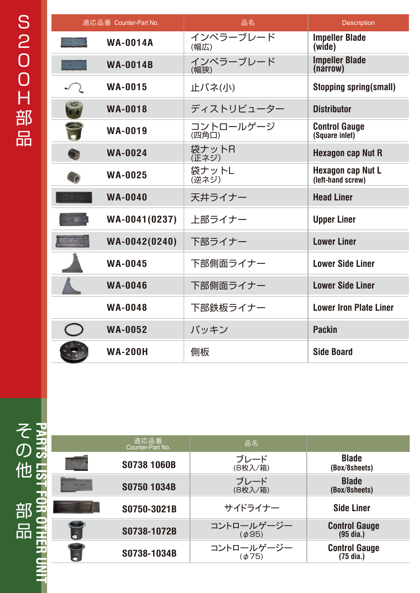| 適応品番 Counter-Part No. |                 | 品名                 | <b>Description</b>                            |
|-----------------------|-----------------|--------------------|-----------------------------------------------|
|                       | <b>WA-0014A</b> | インペラーブレード<br>(幅広)  | <b>Impeller Blade</b><br>(wide)               |
|                       | <b>WA-0014B</b> | インペラーブレード<br>(幅狭)  | <b>Impeller Blade</b><br>(narrow)             |
|                       | <b>WA-0015</b>  | 止バネ(小)             | <b>Stopping spring(small)</b>                 |
| $\frac{1}{2}$         | <b>WA-0018</b>  | ディストリビューター         | <b>Distributor</b>                            |
| P                     | <b>WA-0019</b>  | コントロールゲージ<br>(四角口) | <b>Control Gauge</b><br>(Square inlet)        |
|                       | <b>WA-0024</b>  | 袋ナットR<br>(正ネジ)     | <b>Hexagon cap Nut R</b>                      |
|                       | <b>WA-0025</b>  | 袋ナットL<br>(逆ネジ)     | <b>Hexagon cap Nut L</b><br>(left-hand screw) |
|                       | <b>WA-0040</b>  | 天井ライナー             | <b>Head Liner</b>                             |
|                       | WA-0041(0237)   | 上部ライナー             | <b>Upper Liner</b>                            |
|                       | WA-0042(0240)   | 下部ライナー             | <b>Lower Liner</b>                            |
|                       | <b>WA-0045</b>  | 下部側面ライナー           | <b>Lower Side Liner</b>                       |
|                       | <b>WA-0046</b>  | 下部側面ライナー           | <b>Lower Side Liner</b>                       |
|                       | <b>WA-0048</b>  | 下部鉄板ライナー           | <b>Lower Iron Plate Liner</b>                 |
|                       | <b>WA-0052</b>  | パッキン               | <b>Packin</b>                                 |
|                       | <b>WA-200H</b>  | 側板                 | <b>Side Board</b>                             |

**PARTS LIST FOR OTHER UNITOR OTHER** 

|        | 適応品番<br>Counter-Part No. | 品名                           |                                     |
|--------|--------------------------|------------------------------|-------------------------------------|
|        | S0738 1060B              | ブレード<br>(8枚入/箱)              | <b>Blade</b><br>(Box/8sheets)       |
|        | S0750 1034B              | ブレード<br>(8枚入/箱)              | <b>Blade</b><br>(Box/8sheets)       |
|        | S0750-3021B              | サイドライナー                      | <b>Side Liner</b>                   |
| Ğ      | S0738-1072B              | コントロールゲージー<br>( <i>φ</i> 95) | <b>Control Gauge</b><br>(95 dia.)   |
| ÷<br>3 | S0738-1034B              | コントロールゲージー<br>( <i>Φ</i> 75) | <b>Control Gauge</b><br>$(75$ dia.) |
|        |                          |                              |                                     |